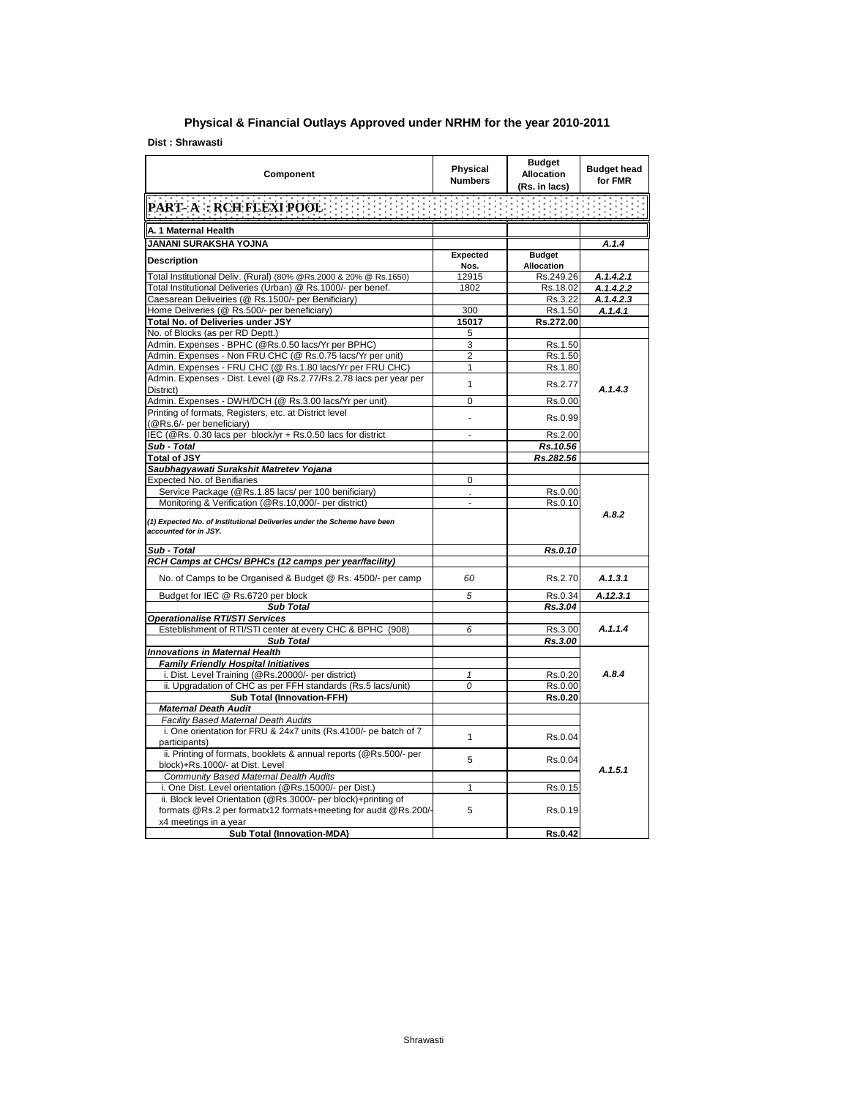## **Physical & Financial Outlays Approved under NRHM for the year 2010-2011**

**Dist : Shrawasti**

| Component                                                                                                                         | Physical<br><b>Numbers</b> | <b>Budget</b><br><b>Allocation</b><br>(Rs. in lacs) | <b>Budget head</b><br>for FMR |  |
|-----------------------------------------------------------------------------------------------------------------------------------|----------------------------|-----------------------------------------------------|-------------------------------|--|
| PART- A: RCH FLEXI POOL                                                                                                           |                            |                                                     |                               |  |
| A. 1 Maternal Health                                                                                                              |                            |                                                     |                               |  |
| JANANI SURAKSHA YOJNA                                                                                                             |                            |                                                     | A.1.4                         |  |
| <b>Description</b>                                                                                                                | Expected<br>Nos.           | <b>Budget</b><br><b>Allocation</b>                  |                               |  |
| Total Institutional Deliv. (Rural) (80% @Rs.2000 & 20% @ Rs.1650)                                                                 | 12915                      | Rs.249.26                                           | A.1.4.2.1                     |  |
| Total Institutional Deliveries (Urban) @ Rs.1000/- per benef.                                                                     | 1802                       | Rs.18.02                                            | A.1.4.2.2                     |  |
| Caesarean Deliveiries (@ Rs.1500/- per Benificiary)                                                                               |                            | Rs.3.22                                             | A.1.4.2.3                     |  |
| Home Deliveries (@ Rs.500/- per beneficiary)                                                                                      | 300                        | Rs.1.50                                             | A.1.4.1                       |  |
| Total No. of Deliveries under JSY                                                                                                 | 15017                      | Rs.272.00                                           |                               |  |
| No. of Blocks (as per RD Deptt.)                                                                                                  | 5                          |                                                     |                               |  |
| Admin. Expenses - BPHC (@Rs.0.50 lacs/Yr per BPHC)                                                                                | 3                          | Rs.1.50                                             |                               |  |
| Admin. Expenses - Non FRU CHC (@ Rs.0.75 lacs/Yr per unit)                                                                        | $\overline{2}$             | Rs.1.50                                             |                               |  |
| Admin. Expenses - FRU CHC (@ Rs.1.80 lacs/Yr per FRU CHC)                                                                         | $\mathbf{1}$               | Rs.1.80                                             |                               |  |
| Admin. Expenses - Dist. Level (@ Rs.2.77/Rs.2.78 lacs per year per<br>District)                                                   | $\mathbf{1}$               | Rs.2.77                                             | A.1.4.3                       |  |
| Admin. Expenses - DWH/DCH (@ Rs.3.00 lacs/Yr per unit)                                                                            | 0                          | Rs.0.00                                             |                               |  |
| Printing of formats, Registers, etc. at District level<br>(@Rs.6/- per beneficiary)                                               |                            | Rs.0.99                                             |                               |  |
| IEC (@Rs. 0.30 lacs per block/yr + Rs.0.50 lacs for district                                                                      | ÷.                         | Rs.2.00                                             |                               |  |
| Sub - Total                                                                                                                       |                            | Rs.10.56                                            |                               |  |
| <b>Total of JSY</b>                                                                                                               |                            | Rs.282.56                                           |                               |  |
| Saubhagyawati Surakshit Matretev Yojana                                                                                           |                            |                                                     |                               |  |
| Expected No. of Benifiaries                                                                                                       | 0                          |                                                     |                               |  |
| Service Package (@Rs.1.85 lacs/ per 100 benificiary)                                                                              |                            | Rs.0.00                                             |                               |  |
| Monitoring & Verification (@Rs.10,000/- per district)                                                                             | ÷,                         | Rs.0.10                                             |                               |  |
| (1) Expected No. of Institutional Deliveries under the Scheme have been<br>accounted for in JSY.                                  |                            |                                                     | A.8.2                         |  |
| Sub - Total                                                                                                                       |                            | Rs.0.10                                             |                               |  |
| RCH Camps at CHCs/ BPHCs (12 camps per year/facility)                                                                             |                            |                                                     |                               |  |
| No. of Camps to be Organised & Budget @ Rs. 4500/- per camp                                                                       | 60                         | Rs.2.70                                             | A.1.3.1                       |  |
| Budget for IEC @ Rs.6720 per block                                                                                                | 5                          | Rs.0.34                                             | A.12.3.1                      |  |
| <b>Sub Total</b>                                                                                                                  |                            | Rs.3.04                                             |                               |  |
| <b>Operationalise RTI/STI Services</b>                                                                                            |                            |                                                     |                               |  |
| Esteblishment of RTI/STI center at every CHC & BPHC (908)                                                                         | 6                          | Rs.3.00                                             | A.1.1.4                       |  |
| <b>Sub Total</b>                                                                                                                  |                            | Rs.3.00                                             |                               |  |
| <b>Innovations in Maternal Health</b>                                                                                             |                            |                                                     |                               |  |
| <b>Family Friendly Hospital Initiatives</b>                                                                                       |                            |                                                     |                               |  |
| i. Dist. Level Training (@Rs.20000/- per district)                                                                                | 1                          | Rs.0.20                                             | A.8.4                         |  |
| ii. Upgradation of CHC as per FFH standards (Rs.5 lacs/unit)                                                                      | 0                          | Rs.0.00                                             |                               |  |
| <b>Sub Total (Innovation-FFH)</b>                                                                                                 |                            | Rs.0.20                                             |                               |  |
| <b>Maternal Death Audit</b>                                                                                                       |                            |                                                     |                               |  |
| <b>Facility Based Maternal Death Audits</b>                                                                                       |                            |                                                     |                               |  |
| i. One orientation for FRU & 24x7 units (Rs.4100/- pe batch of 7<br>participants)                                                 | $\mathbf{1}$               | Rs.0.04                                             |                               |  |
| ii. Printing of formats, booklets & annual reports (@Rs.500/- per<br>block)+Rs.1000/- at Dist. Level                              | 5                          | Rs.0.04                                             |                               |  |
| Community Based Maternal Dealth Audits                                                                                            |                            |                                                     | A.1.5.1                       |  |
| i. One Dist. Level orientation (@Rs.15000/- per Dist.)                                                                            | $\mathbf{1}$               | Rs.0.15                                             |                               |  |
| ii. Block level Orientation (@Rs.3000/- per block)+printing of<br>formats @Rs.2 per formatx12 formats+meeting for audit @Rs.200/- | 5                          | Rs.0.19                                             |                               |  |
| x4 meetings in a year                                                                                                             |                            |                                                     |                               |  |
| <b>Sub Total (Innovation-MDA)</b>                                                                                                 |                            | <b>Rs.0.42</b>                                      |                               |  |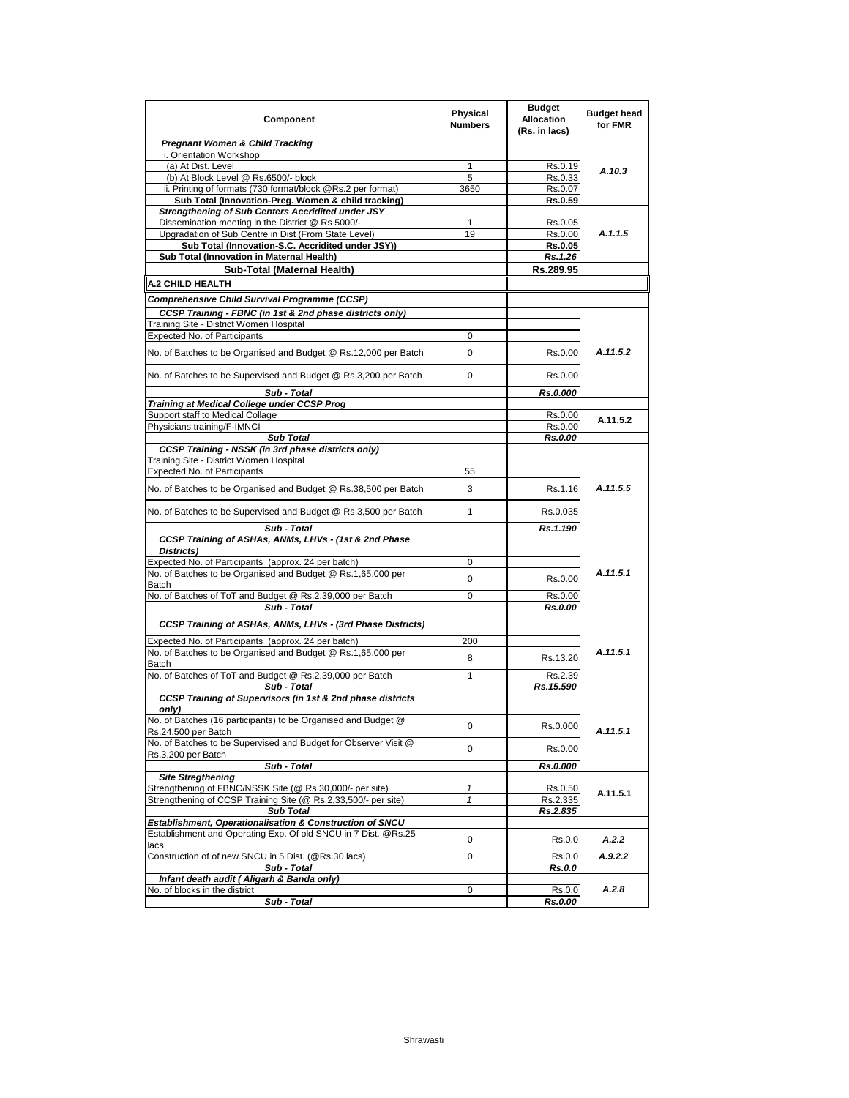| Component                                                                             | Physical<br><b>Numbers</b> | <b>Budget</b><br><b>Allocation</b><br>(Rs. in lacs) | <b>Budget head</b><br>for FMR |
|---------------------------------------------------------------------------------------|----------------------------|-----------------------------------------------------|-------------------------------|
| <b>Pregnant Women &amp; Child Tracking</b>                                            |                            |                                                     |                               |
| i. Orientation Workshop                                                               |                            |                                                     |                               |
| (a) At Dist. Level                                                                    | 1                          | Rs.0.19                                             | A.10.3                        |
| (b) At Block Level @ Rs.6500/- block                                                  | 5                          | Rs.0.33                                             |                               |
| ii. Printing of formats (730 format/block @Rs.2 per format)                           | 3650                       | Rs.0.07                                             |                               |
| Sub Total (Innovation-Preg. Women & child tracking)                                   |                            | Rs.0.59                                             |                               |
| Strengthening of Sub Centers Accridited under JSY                                     |                            |                                                     |                               |
| Dissemination meeting in the District @ Rs 5000/-                                     | 1                          | Rs.0.05                                             |                               |
| Upgradation of Sub Centre in Dist (From State Level)                                  | 19                         | Rs.0.00                                             | A.1.1.5                       |
| Sub Total (Innovation-S.C. Accridited under JSY))                                     |                            | <b>Rs.0.05</b>                                      |                               |
| Sub Total (Innovation in Maternal Health)                                             |                            | Rs.1.26                                             |                               |
| Sub-Total (Maternal Health)                                                           |                            | Rs.289.95                                           |                               |
| A.2 CHILD HEALTH                                                                      |                            |                                                     |                               |
| Comprehensive Child Survival Programme (CCSP)                                         |                            |                                                     |                               |
|                                                                                       |                            |                                                     |                               |
| CCSP Training - FBNC (in 1st & 2nd phase districts only)                              |                            |                                                     |                               |
| Training Site - District Women Hospital                                               |                            |                                                     |                               |
| Expected No. of Participants                                                          | 0                          |                                                     |                               |
| No. of Batches to be Organised and Budget @ Rs.12,000 per Batch                       | 0                          | Rs.0.00                                             | A.11.5.2                      |
| No. of Batches to be Supervised and Budget @ Rs.3,200 per Batch                       | 0                          | Rs.0.00                                             |                               |
| Sub - Total                                                                           |                            | Rs.0.000                                            |                               |
| Training at Medical College under CCSP Prog                                           |                            |                                                     |                               |
| Support staff to Medical Collage                                                      |                            | Rs.0.00                                             | A.11.5.2                      |
| Physicians training/F-IMNCI                                                           |                            | Rs.0.00                                             |                               |
| <b>Sub Total</b>                                                                      |                            | Rs.0.00                                             |                               |
| CCSP Training - NSSK (in 3rd phase districts only)                                    |                            |                                                     |                               |
| Training Site - District Women Hospital                                               |                            |                                                     |                               |
| Expected No. of Participants                                                          | 55                         |                                                     |                               |
| No. of Batches to be Organised and Budget @ Rs.38,500 per Batch                       | 3                          | Rs.1.16                                             | A.11.5.5                      |
| No. of Batches to be Supervised and Budget @ Rs.3,500 per Batch                       | 1                          | Rs.0.035                                            |                               |
| Sub - Total                                                                           |                            | Rs.1.190                                            |                               |
| CCSP Training of ASHAs, ANMs, LHVs - (1st & 2nd Phase<br>Districts)                   |                            |                                                     |                               |
| Expected No. of Participants (approx. 24 per batch)                                   | 0                          |                                                     |                               |
| No. of Batches to be Organised and Budget @ Rs.1,65,000 per                           |                            |                                                     | A.11.5.1                      |
| <b>Batch</b>                                                                          | 0                          | Rs.0.00                                             |                               |
| No. of Batches of ToT and Budget @ Rs.2,39,000 per Batch                              | 0                          | Rs.0.00                                             |                               |
| Sub - Total                                                                           |                            | Rs.0.00                                             |                               |
| CCSP Training of ASHAs, ANMs, LHVs - (3rd Phase Districts)                            |                            |                                                     |                               |
| Expected No. of Participants (approx. 24 per batch)                                   | 200                        |                                                     |                               |
| No. of Batches to be Organised and Budget @ Rs.1,65,000 per                           | 8                          | Rs.13.20                                            | A.11.5.1                      |
| Batch<br>No. of Batches of ToT and Budget @ Rs.2,39,000 per Batch                     | $\mathbf{1}$               | Rs.2.39                                             |                               |
|                                                                                       |                            | Rs.15.590                                           |                               |
| Sub - Total<br>CCSP Training of Supervisors (in 1st & 2nd phase districts             |                            |                                                     |                               |
| only)                                                                                 |                            |                                                     |                               |
| No. of Batches (16 participants) to be Organised and Budget @<br>Rs.24,500 per Batch  | 0                          | Rs.0.000                                            | A.11.5.1                      |
| No. of Batches to be Supervised and Budget for Observer Visit @<br>Rs.3,200 per Batch | 0                          | Rs.0.00                                             |                               |
| Sub - Total                                                                           |                            | Rs.0.000                                            |                               |
| <b>Site Stregthening</b>                                                              |                            |                                                     |                               |
| Strengthening of FBNC/NSSK Site (@ Rs.30,000/- per site)                              | 1                          | Rs.0.50                                             | A.11.5.1                      |
| Strengthening of CCSP Training Site (@ Rs.2,33,500/- per site)                        | 1                          | Rs.2.335                                            |                               |
| <b>Sub Total</b>                                                                      |                            | Rs.2.835                                            |                               |
| <b>Establishment, Operationalisation &amp; Construction of SNCU</b>                   |                            |                                                     |                               |
| Establishment and Operating Exp. Of old SNCU in 7 Dist. @Rs.25<br>lacs                | 0                          | Rs.0.0                                              | A.2.2                         |
| Construction of of new SNCU in 5 Dist. (@Rs.30 lacs)                                  | 0                          | Rs.0.0                                              | A.9.2.2                       |
| Sub - Total                                                                           |                            | Rs.0.0                                              |                               |
| Infant death audit (Aligarh & Banda only)                                             |                            |                                                     |                               |
| No. of blocks in the district                                                         | 0                          | Rs.0.0                                              | A.2.8                         |
| Sub - Total                                                                           |                            | Rs.0.00                                             |                               |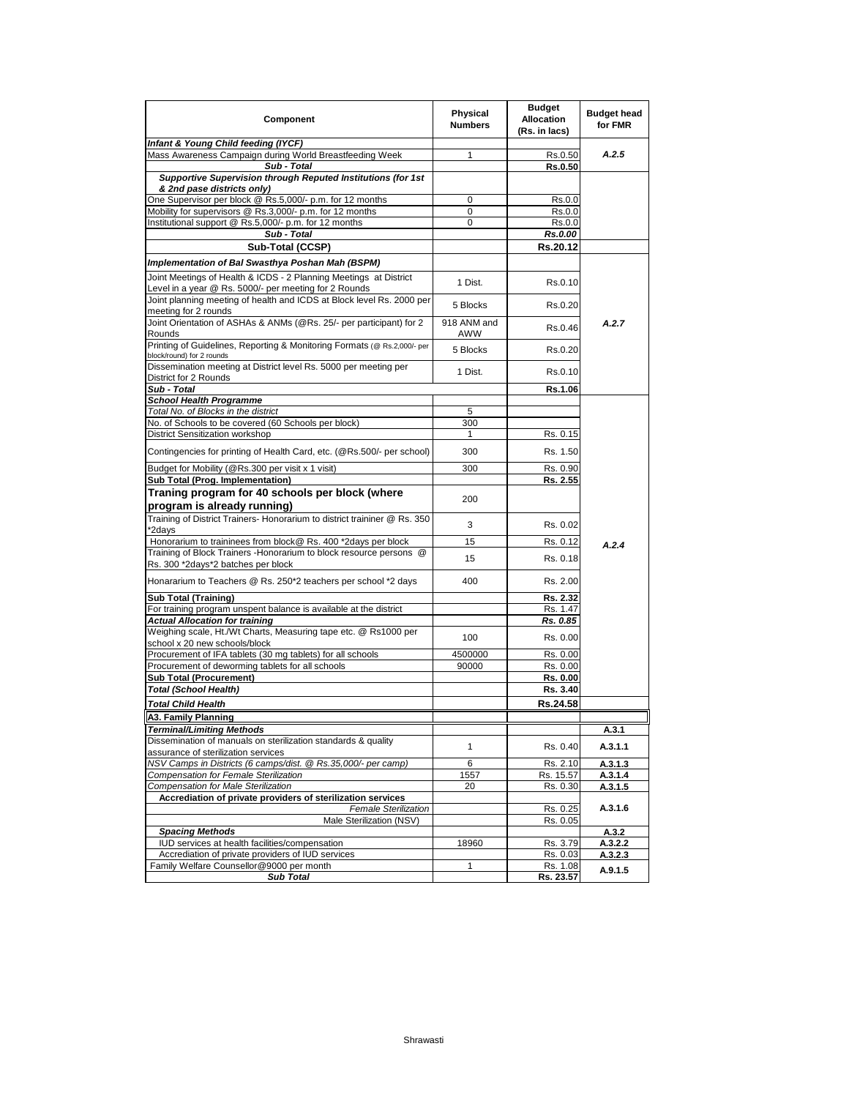| Component                                                                                                | Physical<br><b>Numbers</b> | <b>Budget</b><br><b>Allocation</b><br>(Rs. in lacs) | <b>Budget head</b><br>for FMR |
|----------------------------------------------------------------------------------------------------------|----------------------------|-----------------------------------------------------|-------------------------------|
| Infant & Young Child feeding (IYCF)                                                                      |                            |                                                     |                               |
| Mass Awareness Campaign during World Breastfeeding Week                                                  | 1                          | Rs.0.50                                             | A.2.5                         |
| Sub - Total                                                                                              |                            | Rs.0.50                                             |                               |
| Supportive Supervision through Reputed Institutions (for 1st<br>& 2nd pase districts only)               |                            |                                                     |                               |
| One Supervisor per block @ Rs.5,000/- p.m. for 12 months                                                 | 0                          | Rs.0.0                                              |                               |
| Mobility for supervisors @ Rs.3,000/- p.m. for 12 months                                                 | 0                          | Rs.0.0                                              |                               |
| Institutional support @ Rs.5,000/- p.m. for 12 months                                                    | 0                          | Rs.0.0                                              |                               |
| Sub - Total                                                                                              |                            | Rs.0.00                                             |                               |
| Sub-Total (CCSP)                                                                                         |                            | Rs.20.12                                            |                               |
| Implementation of Bal Swasthya Poshan Mah (BSPM)                                                         |                            |                                                     |                               |
| Joint Meetings of Health & ICDS - 2 Planning Meetings at District                                        |                            |                                                     |                               |
| Level in a year @ Rs. 5000/- per meeting for 2 Rounds                                                    | 1 Dist.                    | Rs.0.10                                             |                               |
| Joint planning meeting of health and ICDS at Block level Rs. 2000 per                                    |                            |                                                     |                               |
| meeting for 2 rounds                                                                                     | 5 Blocks                   | Rs.0.20                                             |                               |
| Joint Orientation of ASHAs & ANMs (@Rs. 25/- per participant) for 2                                      | 918 ANM and                |                                                     | A.2.7                         |
| Rounds                                                                                                   | AWW                        | Rs.0.46                                             |                               |
| Printing of Guidelines, Reporting & Monitoring Formats (@ Rs.2,000/- per                                 | 5 Blocks                   | Rs.0.20                                             |                               |
| block/round) for 2 rounds                                                                                |                            |                                                     |                               |
| Dissemination meeting at District level Rs. 5000 per meeting per                                         | 1 Dist.                    | Rs.0.10                                             |                               |
| District for 2 Rounds                                                                                    |                            |                                                     |                               |
| Sub - Total                                                                                              |                            | Rs.1.06                                             |                               |
| <b>School Health Programme</b>                                                                           |                            |                                                     |                               |
| Total No. of Blocks in the district<br>No. of Schools to be covered (60 Schools per block)               | 5                          |                                                     |                               |
| <b>District Sensitization workshop</b>                                                                   | 300<br>1                   | Rs. 0.15                                            |                               |
|                                                                                                          |                            |                                                     |                               |
| Contingencies for printing of Health Card, etc. (@Rs.500/- per school)                                   | 300                        | Rs. 1.50                                            |                               |
| Budget for Mobility (@Rs.300 per visit x 1 visit)                                                        | 300                        | Rs. 0.90                                            |                               |
| Sub Total (Prog. Implementation)                                                                         |                            | Rs. 2.55                                            |                               |
| Traning program for 40 schools per block (where                                                          |                            |                                                     |                               |
| program is already running)                                                                              | 200                        |                                                     |                               |
| Training of District Trainers- Honorarium to district traininer @ Rs. 350                                |                            |                                                     |                               |
| *2days                                                                                                   | 3                          | Rs. 0.02                                            |                               |
| Honorarium to traininees from block@ Rs. 400 *2days per block                                            | 15                         | Rs. 0.12                                            | A.2.4                         |
| Training of Block Trainers - Honorarium to block resource persons @                                      |                            |                                                     |                               |
| Rs. 300 *2days*2 batches per block                                                                       | 15                         | Rs. 0.18                                            |                               |
| Honararium to Teachers @ Rs. 250*2 teachers per school *2 days                                           | 400                        | Rs. 2.00                                            |                               |
|                                                                                                          |                            |                                                     |                               |
| <b>Sub Total (Training)</b>                                                                              |                            | Rs. 2.32                                            |                               |
| For training program unspent balance is available at the district                                        |                            | Rs. 1.47                                            |                               |
| <b>Actual Allocation for training</b><br>Weighing scale, Ht./Wt Charts, Measuring tape etc. @ Rs1000 per |                            | Rs. 0.85                                            |                               |
| school x 20 new schools/block                                                                            | 100                        | Rs. 0.00                                            |                               |
| Procurement of IFA tablets (30 mg tablets) for all schools                                               | 4500000                    | Rs. 0.00                                            |                               |
| Procurement of deworming tablets for all schools                                                         | 90000                      | Rs. 0.00                                            |                               |
| <b>Sub Total (Procurement)</b>                                                                           |                            | Rs. 0.00                                            |                               |
| <b>Total (School Health)</b>                                                                             |                            | Rs. 3.40                                            |                               |
| <b>Total Child Health</b>                                                                                |                            | Rs.24.58                                            |                               |
| A3. Family Planning                                                                                      |                            |                                                     |                               |
| <b>Terminal/Limiting Methods</b>                                                                         |                            |                                                     | A.3.1                         |
| Dissemination of manuals on sterilization standards & quality                                            |                            |                                                     |                               |
| assurance of sterilization services                                                                      | 1                          | Rs. 0.40                                            | A.3.1.1                       |
| NSV Camps in Districts (6 camps/dist. @ Rs.35,000/- per camp)                                            | 6                          | Rs. 2.10                                            | A.3.1.3                       |
| Compensation for Female Sterilization                                                                    | 1557                       | Rs. 15.57                                           | A.3.1.4                       |
| <b>Compensation for Male Sterilization</b>                                                               | 20                         | Rs. 0.30                                            | A.3.1.5                       |
| Accrediation of private providers of sterilization services                                              |                            |                                                     |                               |
| <b>Female Sterilization</b>                                                                              |                            | Rs. 0.25                                            | A.3.1.6                       |
| Male Sterilization (NSV)                                                                                 |                            | Rs. 0.05                                            |                               |
| <b>Spacing Methods</b>                                                                                   |                            |                                                     | A.3.2                         |
| IUD services at health facilities/compensation                                                           | 18960                      | Rs. 3.79                                            | A.3.2.2                       |
| Accrediation of private providers of IUD services<br>Family Welfare Counsellor@9000 per month            | $\mathbf{1}$               | Rs. 0.03                                            | A.3.2.3                       |
| <b>Sub Total</b>                                                                                         |                            | Rs. 1.08<br>Rs. 23.57                               | A.9.1.5                       |
|                                                                                                          |                            |                                                     |                               |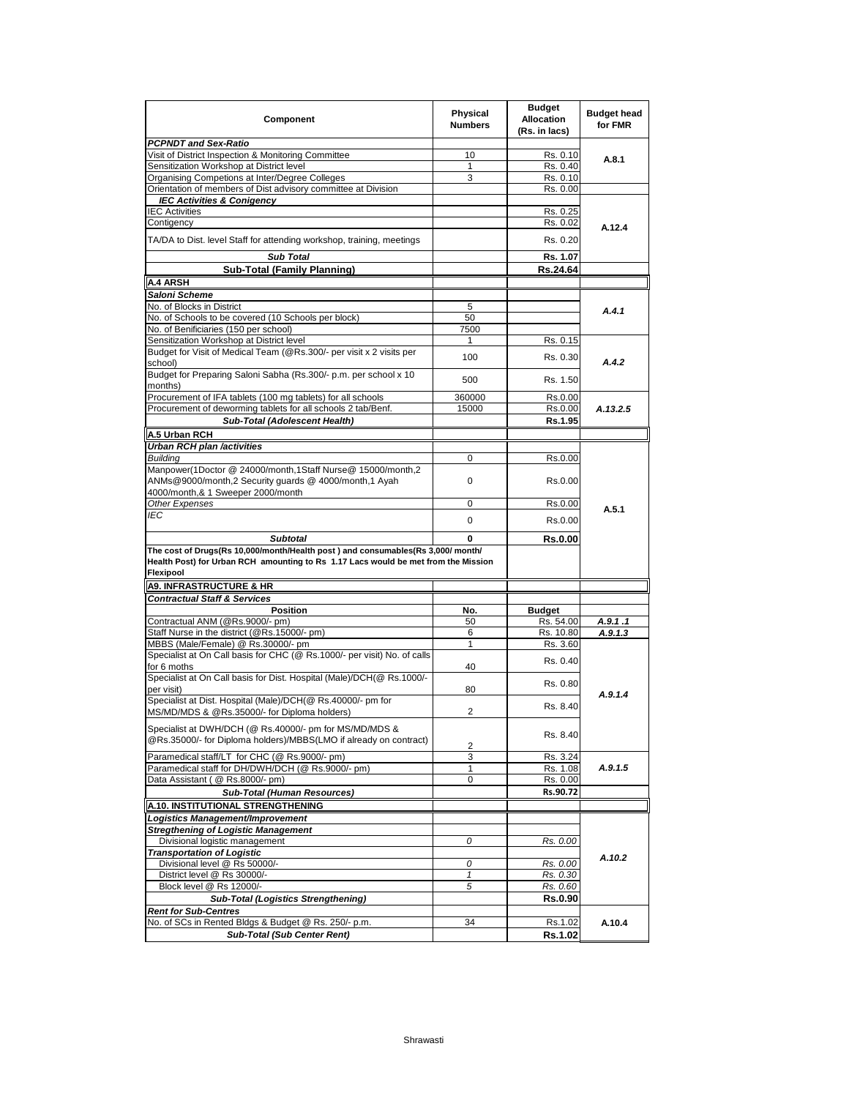| Component                                                                                                                                                                           | Physical<br><b>Numbers</b> | Budget<br><b>Allocation</b><br>(Rs. in lacs) | <b>Budget head</b><br>for FMR |
|-------------------------------------------------------------------------------------------------------------------------------------------------------------------------------------|----------------------------|----------------------------------------------|-------------------------------|
| <b>PCPNDT and Sex-Ratio</b>                                                                                                                                                         |                            |                                              |                               |
| Visit of District Inspection & Monitoring Committee                                                                                                                                 | 10                         | Rs. 0.10                                     | A.8.1                         |
| Sensitization Workshop at District level                                                                                                                                            | 1                          | Rs. 0.40                                     |                               |
| Organising Competions at Inter/Degree Colleges                                                                                                                                      | 3                          | Rs. 0.10                                     |                               |
| Orientation of members of Dist advisory committee at Division<br><b>IEC Activities &amp; Conigency</b>                                                                              |                            | Rs. 0.00                                     |                               |
| <b>IEC Activities</b>                                                                                                                                                               |                            | Rs. 0.25                                     |                               |
| Contigency                                                                                                                                                                          |                            | Rs. 0.02                                     |                               |
|                                                                                                                                                                                     |                            |                                              | A.12.4                        |
| TA/DA to Dist. level Staff for attending workshop, training, meetings                                                                                                               |                            | Rs. 0.20                                     |                               |
| <b>Sub Total</b>                                                                                                                                                                    |                            | Rs. 1.07                                     |                               |
| <b>Sub-Total (Family Planning)</b>                                                                                                                                                  |                            | Rs.24.64                                     |                               |
| A.4 ARSH                                                                                                                                                                            |                            |                                              |                               |
| Saloni Scheme                                                                                                                                                                       |                            |                                              |                               |
| No. of Blocks in District                                                                                                                                                           | 5                          |                                              | A.4.1                         |
| No. of Schools to be covered (10 Schools per block)                                                                                                                                 | 50                         |                                              |                               |
| No. of Benificiaries (150 per school)                                                                                                                                               | 7500                       |                                              |                               |
| Sensitization Workshop at District level                                                                                                                                            | 1                          | Rs. 0.15                                     |                               |
| Budget for Visit of Medical Team (@Rs.300/- per visit x 2 visits per<br>school)                                                                                                     | 100                        | Rs. 0.30                                     | A.4.2                         |
| Budget for Preparing Saloni Sabha (Rs.300/- p.m. per school x 10<br>months)                                                                                                         | 500                        | Rs. 1.50                                     |                               |
| Procurement of IFA tablets (100 mg tablets) for all schools                                                                                                                         | 360000                     | Rs.0.00                                      |                               |
| Procurement of deworming tablets for all schools 2 tab/Benf.                                                                                                                        | 15000                      | Rs.0.00                                      | A.13.2.5                      |
| Sub-Total (Adolescent Health)                                                                                                                                                       |                            | Rs.1.95                                      |                               |
| A.5 Urban RCH                                                                                                                                                                       |                            |                                              |                               |
| Urban RCH plan /activities                                                                                                                                                          |                            |                                              |                               |
| <b>Building</b>                                                                                                                                                                     | $\mathbf 0$                | Rs.0.00                                      |                               |
| Manpower(1Doctor @ 24000/month,1Staff Nurse@ 15000/month,2                                                                                                                          |                            |                                              |                               |
| ANMs@9000/month,2 Security guards @ 4000/month,1 Ayah                                                                                                                               | $\mathbf 0$                | Rs.0.00                                      |                               |
| 4000/month,& 1 Sweeper 2000/month                                                                                                                                                   |                            |                                              |                               |
| Other Expenses                                                                                                                                                                      | $\mathbf 0$                | Rs.0.00                                      | A.5.1                         |
| IEC                                                                                                                                                                                 | $\pmb{0}$                  | Rs.0.00                                      |                               |
|                                                                                                                                                                                     |                            |                                              |                               |
| <b>Subtotal</b>                                                                                                                                                                     | 0                          | <b>Rs.0.00</b>                               |                               |
| The cost of Drugs(Rs 10,000/month/Health post ) and consumables(Rs 3,000/ month/<br>Health Post) for Urban RCH amounting to Rs 1.17 Lacs would be met from the Mission<br>Flexipool |                            |                                              |                               |
| <b>A9. INFRASTRUCTURE &amp; HR</b>                                                                                                                                                  |                            |                                              |                               |
| <b>Contractual Staff &amp; Services</b>                                                                                                                                             |                            |                                              |                               |
| <b>Position</b>                                                                                                                                                                     | No.                        | <b>Budget</b>                                |                               |
| Contractual ANM (@Rs.9000/- pm)                                                                                                                                                     | 50                         | Rs. 54.00                                    | A.9.1.1                       |
| Staff Nurse in the district (@Rs.15000/- pm)                                                                                                                                        | 6                          | Rs. 10.80                                    | A.9.1.3                       |
| MBBS (Male/Female) @ Rs.30000/- pm                                                                                                                                                  | $\mathbf{1}$               | Rs. 3.60                                     |                               |
| Specialist at On Call basis for CHC (@ Rs.1000/- per visit) No. of calls                                                                                                            |                            | Rs. 0.40                                     |                               |
| for 6 moths<br>Specialist at On Call basis for Dist. Hospital (Male)/DCH(@ Rs.1000/-                                                                                                | 40                         |                                              |                               |
| per visit)                                                                                                                                                                          | 80                         | Rs. 0.80                                     | A.9.1.4                       |
| Specialist at Dist. Hospital (Male)/DCH(@ Rs.40000/- pm for                                                                                                                         | $\overline{2}$             | Rs. 8.40                                     |                               |
| MS/MD/MDS & @Rs.35000/- for Diploma holders)                                                                                                                                        |                            |                                              |                               |
| Specialist at DWH/DCH (@ Rs.40000/- pm for MS/MD/MDS &<br>@Rs.35000/- for Diploma holders)/MBBS(LMO if already on contract)                                                         |                            | Rs. 8.40                                     |                               |
|                                                                                                                                                                                     | 2                          |                                              |                               |
| Paramedical staff/LT for CHC (@ Rs.9000/- pm)                                                                                                                                       | 3                          | Rs. 3.24                                     |                               |
| Paramedical staff for DH/DWH/DCH (@ Rs.9000/- pm)                                                                                                                                   | 1                          | Rs. 1.08                                     | A.9.1.5                       |
| Data Assistant (@ Rs.8000/- pm)                                                                                                                                                     | 0                          | Rs. 0.00                                     |                               |
| <b>Sub-Total (Human Resources)</b>                                                                                                                                                  |                            | Rs.90.72                                     |                               |
| A.10. INSTITUTIONAL STRENGTHENING                                                                                                                                                   |                            |                                              |                               |
| Logistics Management/Improvement                                                                                                                                                    |                            |                                              |                               |
| <b>Stregthening of Logistic Management</b>                                                                                                                                          |                            |                                              |                               |
| Divisional logistic management                                                                                                                                                      | 0                          | Rs. 0.00                                     |                               |
| <b>Transportation of Logistic</b><br>Divisional level @ Rs 50000/-                                                                                                                  | 0                          | Rs. 0.00                                     | A.10.2                        |
| District level @ Rs 30000/-                                                                                                                                                         | $\mathbf{1}$               | Rs. 0.30                                     |                               |
| Block level @ Rs 12000/-                                                                                                                                                            | 5                          | Rs. 0.60                                     |                               |
| <b>Sub-Total (Logistics Strengthening)</b>                                                                                                                                          |                            | <b>Rs.0.90</b>                               |                               |
| <b>Rent for Sub-Centres</b>                                                                                                                                                         |                            |                                              |                               |
| No. of SCs in Rented Bldgs & Budget @ Rs. 250/- p.m.                                                                                                                                | 34                         | Rs.1.02                                      | A.10.4                        |
| <b>Sub-Total (Sub Center Rent)</b>                                                                                                                                                  |                            | Rs.1.02                                      |                               |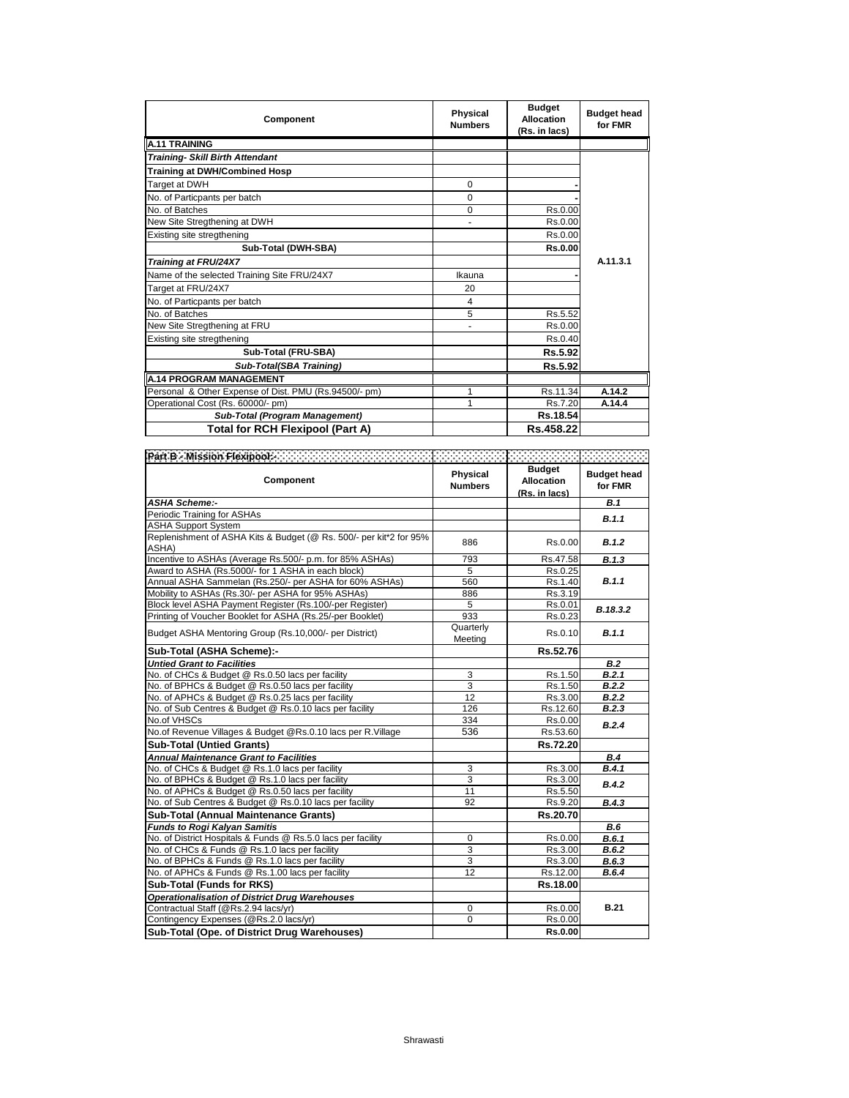| Component                                             | <b>Physical</b><br><b>Numbers</b> | <b>Budget</b><br><b>Allocation</b><br>(Rs. in lacs) | <b>Budget head</b><br>for FMR |
|-------------------------------------------------------|-----------------------------------|-----------------------------------------------------|-------------------------------|
| <b>A.11 TRAINING</b>                                  |                                   |                                                     |                               |
| <b>Training- Skill Birth Attendant</b>                |                                   |                                                     |                               |
| <b>Training at DWH/Combined Hosp</b>                  |                                   |                                                     |                               |
| Target at DWH                                         | $\Omega$                          |                                                     |                               |
| No. of Particpants per batch                          | $\Omega$                          |                                                     |                               |
| No. of Batches                                        | $\Omega$                          | Rs.0.00                                             |                               |
| New Site Stregthening at DWH                          |                                   | Rs.0.00                                             |                               |
| Existing site stregthening                            |                                   | Rs.0.00                                             |                               |
| Sub-Total (DWH-SBA)                                   |                                   | <b>Rs.0.00</b>                                      |                               |
| <b>Training at FRU/24X7</b>                           |                                   |                                                     | A.11.3.1                      |
| Name of the selected Training Site FRU/24X7           | Ikauna                            |                                                     |                               |
| Target at FRU/24X7                                    | 20                                |                                                     |                               |
| No. of Particpants per batch                          | 4                                 |                                                     |                               |
| No. of Batches                                        | 5                                 | Rs.5.52                                             |                               |
| New Site Stregthening at FRU                          |                                   | Rs.0.00                                             |                               |
| Existing site stregthening                            |                                   | Rs.0.40                                             |                               |
| Sub-Total (FRU-SBA)                                   |                                   | Rs.5.92                                             |                               |
| Sub-Total(SBA Training)                               |                                   | Rs.5.92                                             |                               |
| <b>A.14 PROGRAM MANAGEMENT</b>                        |                                   |                                                     |                               |
| Personal & Other Expense of Dist. PMU (Rs.94500/- pm) |                                   | Rs.11.34                                            | A.14.2                        |
| Operational Cost (Rs. 60000/- pm)                     | 1                                 | Rs.7.20                                             | A.14.4                        |
| <b>Sub-Total (Program Management)</b>                 |                                   | Rs.18.54                                            |                               |
| Total for RCH Flexipool (Part A)                      |                                   | Rs.458.22                                           |                               |

| Component                                                                   | Physical<br><b>Numbers</b> | <b>Budget</b><br><b>Allocation</b><br>(Rs. in lacs) | <b>Budget head</b><br>for FMR |
|-----------------------------------------------------------------------------|----------------------------|-----------------------------------------------------|-------------------------------|
| <b>ASHA Scheme:-</b>                                                        |                            |                                                     | B.1                           |
| Periodic Training for ASHAs                                                 |                            |                                                     | B.1.1                         |
| <b>ASHA Support System</b>                                                  |                            |                                                     |                               |
| Replenishment of ASHA Kits & Budget (@ Rs. 500/- per kit*2 for 95%<br>ASHA) | 886                        | Rs.0.00                                             | B.1.2                         |
| Incentive to ASHAs (Average Rs.500/- p.m. for 85% ASHAs)                    | 793                        | Rs.47.58                                            | B.1.3                         |
| Award to ASHA (Rs.5000/- for 1 ASHA in each block)                          | 5                          | Rs.0.25                                             |                               |
| Annual ASHA Sammelan (Rs.250/- per ASHA for 60% ASHAs)                      | 560                        | Rs.1.40                                             | B.1.1                         |
| Mobility to ASHAs (Rs.30/- per ASHA for 95% ASHAs)                          | 886                        | Rs.3.19                                             |                               |
| Block level ASHA Payment Register (Rs.100/-per Register)                    | 5                          | Rs.0.01                                             | B.18.3.2                      |
| Printing of Voucher Booklet for ASHA (Rs.25/-per Booklet)                   | 933                        | Rs.0.23                                             |                               |
| Budget ASHA Mentoring Group (Rs.10,000/- per District)                      | Quarterly<br>Meeting       | Rs.0.10                                             | B.1.1                         |
| Sub-Total (ASHA Scheme):-                                                   |                            | Rs.52.76                                            |                               |
| <b>Untied Grant to Facilities</b>                                           |                            |                                                     | B.2                           |
| No. of CHCs & Budget @ Rs.0.50 lacs per facility                            | 3                          | Rs.1.50                                             | B.2.1                         |
| No. of BPHCs & Budget @ Rs.0.50 lacs per facility                           | 3                          | Rs.1.50                                             | B.2.2                         |
| No. of APHCs & Budget @ Rs.0.25 lacs per facility                           | 12                         | Rs.3.00                                             | B.2.2                         |
| No. of Sub Centres & Budget @ Rs.0.10 lacs per facility                     | 126                        | Rs.12.60                                            | B.2.3                         |
| No.of VHSCs                                                                 | 334                        | Rs.0.00                                             | B.2.4                         |
| No.of Revenue Villages & Budget @Rs.0.10 lacs per R.Village                 | 536                        | Rs.53.60                                            |                               |
| <b>Sub-Total (Untied Grants)</b>                                            |                            | Rs.72.20                                            |                               |
| <b>Annual Maintenance Grant to Facilities</b>                               |                            |                                                     | <b>B.4</b>                    |
| No. of CHCs & Budget @ Rs.1.0 lacs per facility                             | 3                          | Rs.3.00                                             | B.4.1                         |
| No. of BPHCs & Budget @ Rs.1.0 lacs per facility                            | 3                          | Rs.3.00                                             | B.4.2                         |
| No. of APHCs & Budget @ Rs.0.50 lacs per facility                           | 11                         | Rs.5.50                                             |                               |
| No. of Sub Centres & Budget @ Rs.0.10 lacs per facility                     | 92                         | Rs.9.20                                             | B.4.3                         |
| Sub-Total (Annual Maintenance Grants)                                       |                            | Rs.20.70                                            |                               |
| <b>Funds to Rogi Kalvan Samitis</b>                                         |                            |                                                     | B.6                           |
| No. of District Hospitals & Funds @ Rs.5.0 lacs per facility                | 0                          | Rs.0.00                                             | B.6.1                         |
| No. of CHCs & Funds @ Rs.1.0 lacs per facility                              | 3                          | Rs.3.00                                             | B.6.2                         |
| No. of BPHCs & Funds @ Rs.1.0 lacs per facility                             | 3                          | Rs.3.00                                             | B.6.3                         |
| No. of APHCs & Funds @ Rs.1.00 lacs per facility                            | 12                         | Rs.12.00                                            | B.6.4                         |
| Sub-Total (Funds for RKS)                                                   |                            | Rs.18.00                                            |                               |
| <b>Operationalisation of District Drug Warehouses</b>                       |                            |                                                     |                               |
| Contractual Staff (@Rs.2.94 lacs/yr)                                        | 0                          | Rs.0.00                                             | <b>B.21</b>                   |
| Contingency Expenses (@Rs.2.0 lacs/yr)                                      | $\mathbf 0$                | Rs.0.00                                             |                               |
| Sub-Total (Ope. of District Drug Warehouses)                                |                            | <b>Rs.0.00</b>                                      |                               |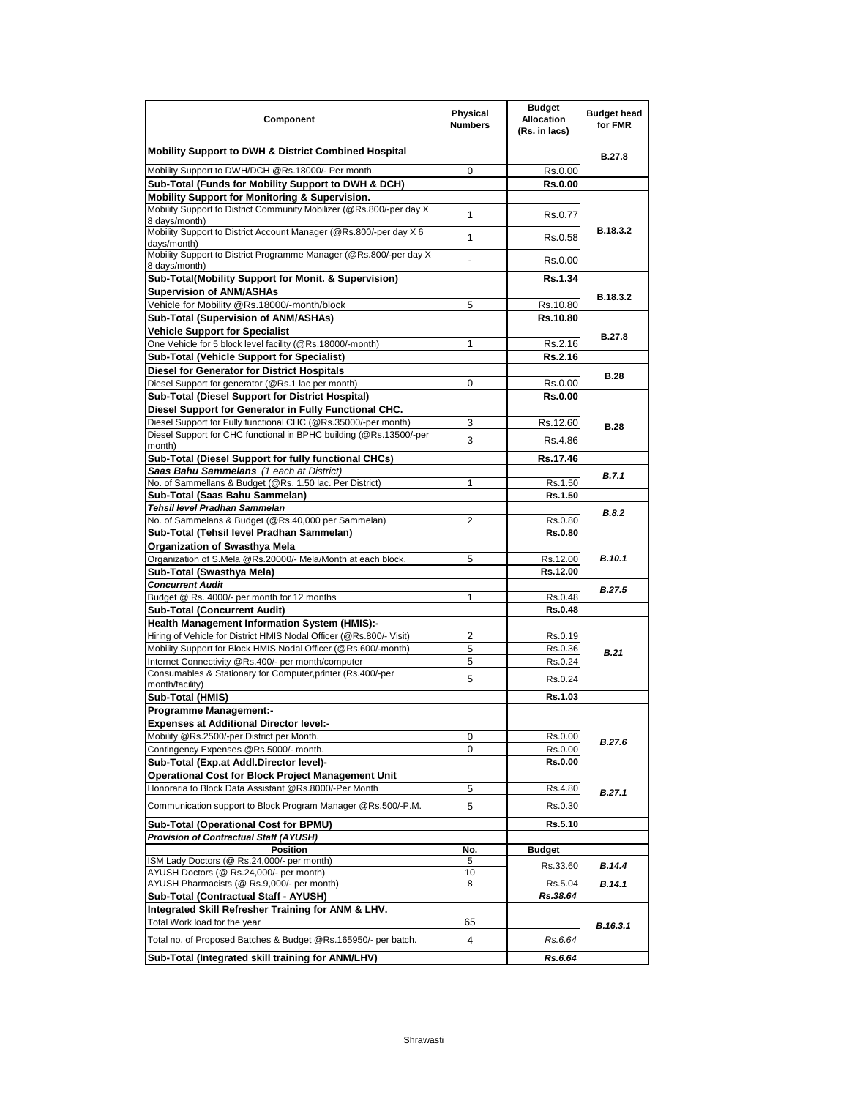| Component                                                                                                                             | Physical<br><b>Numbers</b> | <b>Budget</b><br><b>Allocation</b><br>(Rs. in lacs) | <b>Budget head</b><br>for FMR |
|---------------------------------------------------------------------------------------------------------------------------------------|----------------------------|-----------------------------------------------------|-------------------------------|
| <b>Mobility Support to DWH &amp; District Combined Hospital</b>                                                                       |                            |                                                     | B.27.8                        |
| Mobility Support to DWH/DCH @Rs.18000/- Per month.                                                                                    | 0                          | Rs.0.00                                             |                               |
| Sub-Total (Funds for Mobility Support to DWH & DCH)                                                                                   |                            | <b>Rs.0.00</b>                                      |                               |
| Mobility Support for Monitoring & Supervision.                                                                                        |                            |                                                     |                               |
| Mobility Support to District Community Mobilizer (@Rs.800/-per day X                                                                  | 1                          | Rs.0.77                                             |                               |
| 8 days/month)<br>Mobility Support to District Account Manager (@Rs.800/-per day X 6                                                   |                            |                                                     | B.18.3.2                      |
| days/month)<br>Mobility Support to District Programme Manager (@Rs.800/-per day X                                                     | 1                          | Rs.0.58                                             |                               |
| 8 days/month)                                                                                                                         | ٠                          | Rs.0.00                                             |                               |
| Sub-Total(Mobility Support for Monit. & Supervision)                                                                                  |                            | Rs.1.34                                             |                               |
| <b>Supervision of ANM/ASHAs</b>                                                                                                       |                            |                                                     | B.18.3.2                      |
| Vehicle for Mobility @Rs.18000/-month/block                                                                                           | 5                          | Rs.10.80                                            |                               |
| Sub-Total (Supervision of ANM/ASHAs)                                                                                                  |                            | Rs.10.80                                            |                               |
| <b>Vehicle Support for Specialist</b>                                                                                                 |                            |                                                     | <b>B.27.8</b>                 |
| One Vehicle for 5 block level facility (@Rs.18000/-month)                                                                             | 1                          | Rs.2.16                                             |                               |
| <b>Sub-Total (Vehicle Support for Specialist)</b><br><b>Diesel for Generator for District Hospitals</b>                               |                            | <b>Rs.2.16</b>                                      |                               |
| Diesel Support for generator (@Rs.1 lac per month)                                                                                    | 0                          | Rs.0.00                                             | <b>B.28</b>                   |
| Sub-Total (Diesel Support for District Hospital)                                                                                      |                            | <b>Rs.0.00</b>                                      |                               |
| Diesel Support for Generator in Fully Functional CHC.                                                                                 |                            |                                                     |                               |
| Diesel Support for Fully functional CHC (@Rs.35000/-per month)                                                                        | 3                          | Rs.12.60                                            |                               |
| Diesel Support for CHC functional in BPHC building (@Rs.13500/-per                                                                    | 3                          | Rs.4.86                                             | <b>B.28</b>                   |
| month)<br>Sub-Total (Diesel Support for fully functional CHCs)                                                                        |                            | Rs.17.46                                            |                               |
| Saas Bahu Sammelans (1 each at District)                                                                                              |                            |                                                     |                               |
| No. of Sammellans & Budget (@Rs. 1.50 lac. Per District)                                                                              | 1                          | Rs.1.50                                             | B.7.1                         |
| Sub-Total (Saas Bahu Sammelan)                                                                                                        |                            | Rs.1.50                                             |                               |
| Tehsil level Pradhan Sammelan                                                                                                         |                            |                                                     |                               |
| No. of Sammelans & Budget (@Rs.40,000 per Sammelan)                                                                                   | 2                          | Rs.0.80                                             | <b>B.8.2</b>                  |
| Sub-Total (Tehsil level Pradhan Sammelan)                                                                                             |                            | <b>Rs.0.80</b>                                      |                               |
| <b>Organization of Swasthya Mela</b>                                                                                                  |                            |                                                     |                               |
| Organization of S.Mela @Rs.20000/- Mela/Month at each block.                                                                          | 5                          | Rs.12.00                                            | <b>B.10.1</b>                 |
| Sub-Total (Swasthya Mela)                                                                                                             |                            | Rs.12.00                                            |                               |
| <b>Concurrent Audit</b>                                                                                                               |                            |                                                     | <b>B.27.5</b>                 |
| Budget @ Rs. 4000/- per month for 12 months                                                                                           | 1                          | Rs.0.48                                             |                               |
| <b>Sub-Total (Concurrent Audit)</b>                                                                                                   |                            | <b>Rs.0.48</b>                                      |                               |
| Health Management Information System (HMIS):-                                                                                         |                            |                                                     |                               |
| Hiring of Vehicle for District HMIS Nodal Officer (@Rs.800/- Visit)<br>Mobility Support for Block HMIS Nodal Officer (@Rs.600/-month) | 2<br>5                     | Rs.0.19<br>Rs.0.36                                  |                               |
| Internet Connectivity @Rs.400/- per month/computer                                                                                    | 5                          | Rs.0.24                                             | <b>B.21</b>                   |
| Consumables & Stationary for Computer, printer (Rs.400/-per                                                                           |                            |                                                     |                               |
| month/facility)                                                                                                                       | 5                          | Rs.0.24                                             |                               |
| Sub-Total (HMIS)                                                                                                                      |                            | Rs.1.03                                             |                               |
| <b>Programme Management:-</b>                                                                                                         |                            |                                                     |                               |
| <b>Expenses at Additional Director level:-</b>                                                                                        |                            |                                                     |                               |
| Mobility @Rs.2500/-per District per Month.                                                                                            | 0                          | Rs.0.00                                             | <b>B.27.6</b>                 |
| Contingency Expenses @Rs.5000/- month.                                                                                                | 0                          | Rs.0.00                                             |                               |
| Sub-Total (Exp.at Addl.Director level)-                                                                                               |                            | <b>Rs.0.00</b>                                      |                               |
| <b>Operational Cost for Block Project Management Unit</b>                                                                             |                            |                                                     |                               |
| Honoraria to Block Data Assistant @Rs.8000/-Per Month                                                                                 | 5                          | Rs.4.80                                             | B.27.1                        |
| Communication support to Block Program Manager @Rs.500/-P.M.                                                                          | 5                          | Rs.0.30                                             |                               |
| Sub-Total (Operational Cost for BPMU)                                                                                                 |                            | Rs.5.10                                             |                               |
| <b>Provision of Contractual Staff (AYUSH)</b>                                                                                         |                            |                                                     |                               |
| <b>Position</b>                                                                                                                       | No.                        | <b>Budget</b>                                       |                               |
| ISM Lady Doctors (@ Rs.24,000/- per month)                                                                                            | 5                          | Rs.33.60                                            | B.14.4                        |
| AYUSH Doctors (@ Rs.24,000/- per month)<br>AYUSH Pharmacists (@ Rs.9,000/- per month)                                                 | 10<br>8                    | Rs.5.04                                             | B.14.1                        |
| Sub-Total (Contractual Staff - AYUSH)                                                                                                 |                            | Rs.38.64                                            |                               |
| Integrated Skill Refresher Training for ANM & LHV.                                                                                    |                            |                                                     |                               |
| Total Work load for the year                                                                                                          | 65                         |                                                     |                               |
| Total no. of Proposed Batches & Budget @Rs.165950/- per batch.                                                                        | 4                          | Rs.6.64                                             | B.16.3.1                      |
| Sub-Total (Integrated skill training for ANM/LHV)                                                                                     |                            | Rs.6.64                                             |                               |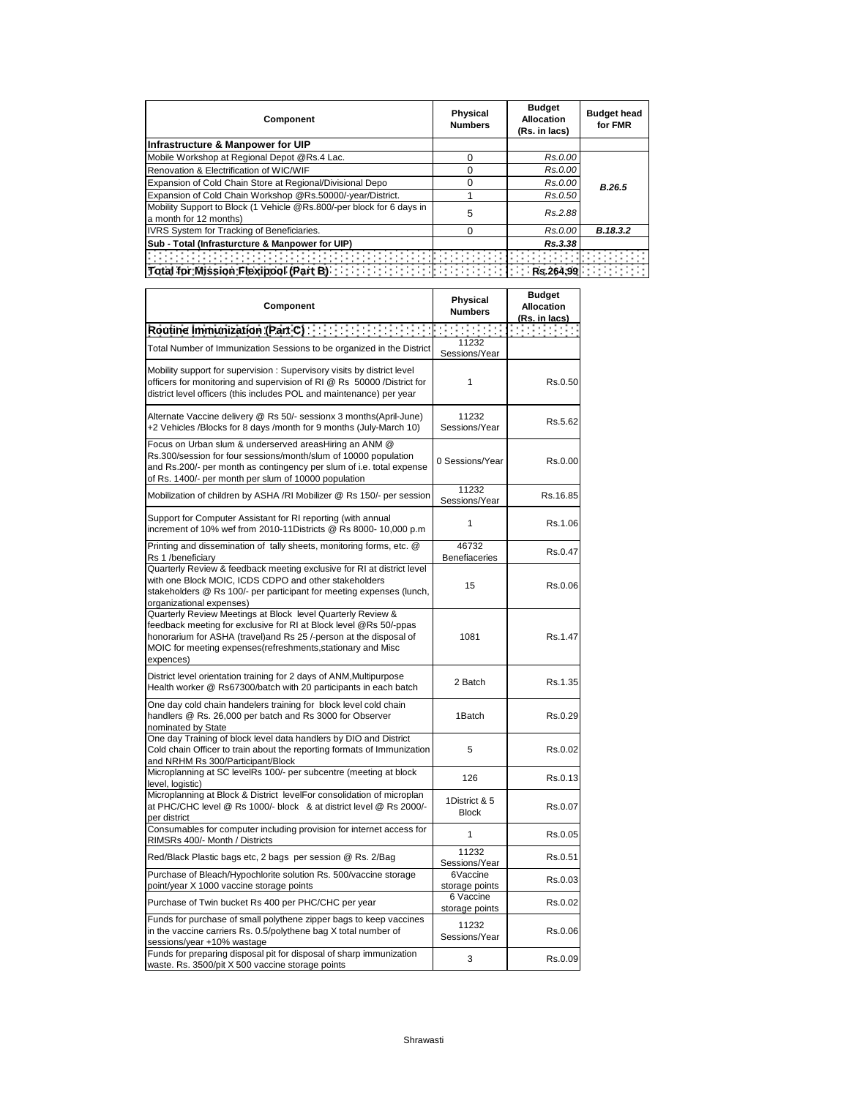| Component                                                                                       | <b>Physical</b><br><b>Numbers</b> | <b>Budget</b><br><b>Allocation</b><br>(Rs. in lacs) | <b>Budget head</b><br>for FMR |
|-------------------------------------------------------------------------------------------------|-----------------------------------|-----------------------------------------------------|-------------------------------|
| Infrastructure & Manpower for UIP                                                               |                                   |                                                     |                               |
| Mobile Workshop at Regional Depot @Rs.4 Lac.                                                    | O                                 | Rs.0.00                                             |                               |
| Renovation & Electrification of WIC/WIF                                                         | O                                 | Rs.0.00                                             |                               |
| Expansion of Cold Chain Store at Regional/Divisional Depo                                       | O                                 | Rs.0.00                                             | B.26.5                        |
| Expansion of Cold Chain Workshop @Rs.50000/-year/District.                                      |                                   | Rs.0.50                                             |                               |
| Mobility Support to Block (1 Vehicle @Rs.800/-per block for 6 days in<br>a month for 12 months) | 5                                 | Rs.2.88                                             |                               |
| IVRS System for Tracking of Beneficiaries.                                                      | 0                                 | Rs.0.00                                             | B.18.3.2                      |
| Sub - Total (Infrasturcture & Manpower for UIP)                                                 |                                   | Rs.3.38                                             |                               |
|                                                                                                 |                                   |                                                     |                               |
|                                                                                                 |                                   |                                                     |                               |

| Component                                                                                                                                                                                                                                                                         | Physical<br><b>Numbers</b>    | <b>Budget</b><br><b>Allocation</b><br>(Rs. in lacs) |
|-----------------------------------------------------------------------------------------------------------------------------------------------------------------------------------------------------------------------------------------------------------------------------------|-------------------------------|-----------------------------------------------------|
| Routine Immunization (Part C) <b>Container and Container and Containers</b>                                                                                                                                                                                                       |                               | in Britannia                                        |
| Total Number of Immunization Sessions to be organized in the District                                                                                                                                                                                                             | 11232<br>Sessions/Year        |                                                     |
| Mobility support for supervision: Supervisory visits by district level<br>officers for monitoring and supervision of RI @ Rs 50000 /District for<br>district level officers (this includes POL and maintenance) per year                                                          | 1                             | Rs.0.50                                             |
| Alternate Vaccine delivery @ Rs 50/- sessionx 3 months(April-June)<br>+2 Vehicles /Blocks for 8 days /month for 9 months (July-March 10)                                                                                                                                          | 11232<br>Sessions/Year        | Rs.5.62                                             |
| Focus on Urban slum & underserved areasHiring an ANM @<br>Rs.300/session for four sessions/month/slum of 10000 population<br>and Rs.200/- per month as contingency per slum of i.e. total expense<br>of Rs. 1400/- per month per slum of 10000 population                         | 0 Sessions/Year               | Rs.0.00                                             |
| Mobilization of children by ASHA /RI Mobilizer @ Rs 150/- per session                                                                                                                                                                                                             | 11232<br>Sessions/Year        | Rs.16.85                                            |
| Support for Computer Assistant for RI reporting (with annual<br>increment of 10% wef from 2010-11Districts @ Rs 8000- 10,000 p.m                                                                                                                                                  | 1                             | Rs.1.06                                             |
| Printing and dissemination of tally sheets, monitoring forms, etc. @<br>Rs 1 /beneficiary                                                                                                                                                                                         | 46732<br><b>Benefiaceries</b> | Rs.0.47                                             |
| Quarterly Review & feedback meeting exclusive for RI at district level<br>with one Block MOIC, ICDS CDPO and other stakeholders<br>stakeholders @ Rs 100/- per participant for meeting expenses (lunch,<br>organizational expenses)                                               | 15                            | Rs.0.06                                             |
| Quarterly Review Meetings at Block level Quarterly Review &<br>feedback meeting for exclusive for RI at Block level @Rs 50/-ppas<br>honorarium for ASHA (travel)and Rs 25 /-person at the disposal of<br>MOIC for meeting expenses(refreshments, stationary and Misc<br>expences) | 1081                          | Rs.1.47                                             |
| District level orientation training for 2 days of ANM, Multipurpose<br>Health worker @ Rs67300/batch with 20 participants in each batch                                                                                                                                           | 2 Batch                       | Rs.1.35                                             |
| One day cold chain handelers training for block level cold chain<br>handlers @ Rs. 26,000 per batch and Rs 3000 for Observer<br>nominated by State                                                                                                                                | 1Batch                        | Rs.0.29                                             |
| One day Training of block level data handlers by DIO and District<br>Cold chain Officer to train about the reporting formats of Immunization<br>and NRHM Rs 300/Participant/Block                                                                                                 | 5                             | Rs.0.02                                             |
| Microplanning at SC levelRs 100/- per subcentre (meeting at block<br>level, logistic)                                                                                                                                                                                             | 126                           | Rs.0.13                                             |
| Microplanning at Block & District levelFor consolidation of microplan<br>at PHC/CHC level @ Rs 1000/- block & at district level @ Rs 2000/-<br>per district                                                                                                                       | 1District & 5<br><b>Block</b> | Rs.0.07                                             |
| Consumables for computer including provision for internet access for<br>RIMSRs 400/- Month / Districts                                                                                                                                                                            | $\mathbf{1}$                  | Rs.0.05                                             |
| Red/Black Plastic bags etc, 2 bags per session @ Rs. 2/Bag                                                                                                                                                                                                                        | 11232<br>Sessions/Year        | Rs.0.51                                             |
| Purchase of Bleach/Hypochlorite solution Rs. 500/vaccine storage<br>point/year X 1000 vaccine storage points                                                                                                                                                                      | 6Vaccine<br>storage points    | Rs.0.03                                             |
| Purchase of Twin bucket Rs 400 per PHC/CHC per year                                                                                                                                                                                                                               | 6 Vaccine<br>storage points   | Rs.0.02                                             |
| Funds for purchase of small polythene zipper bags to keep vaccines<br>in the vaccine carriers Rs. 0.5/polythene bag X total number of<br>sessions/year +10% wastage                                                                                                               | 11232<br>Sessions/Year        | Rs.0.06                                             |
| Funds for preparing disposal pit for disposal of sharp immunization<br>waste. Rs. 3500/pit X 500 vaccine storage points                                                                                                                                                           | 3                             | Rs.0.09                                             |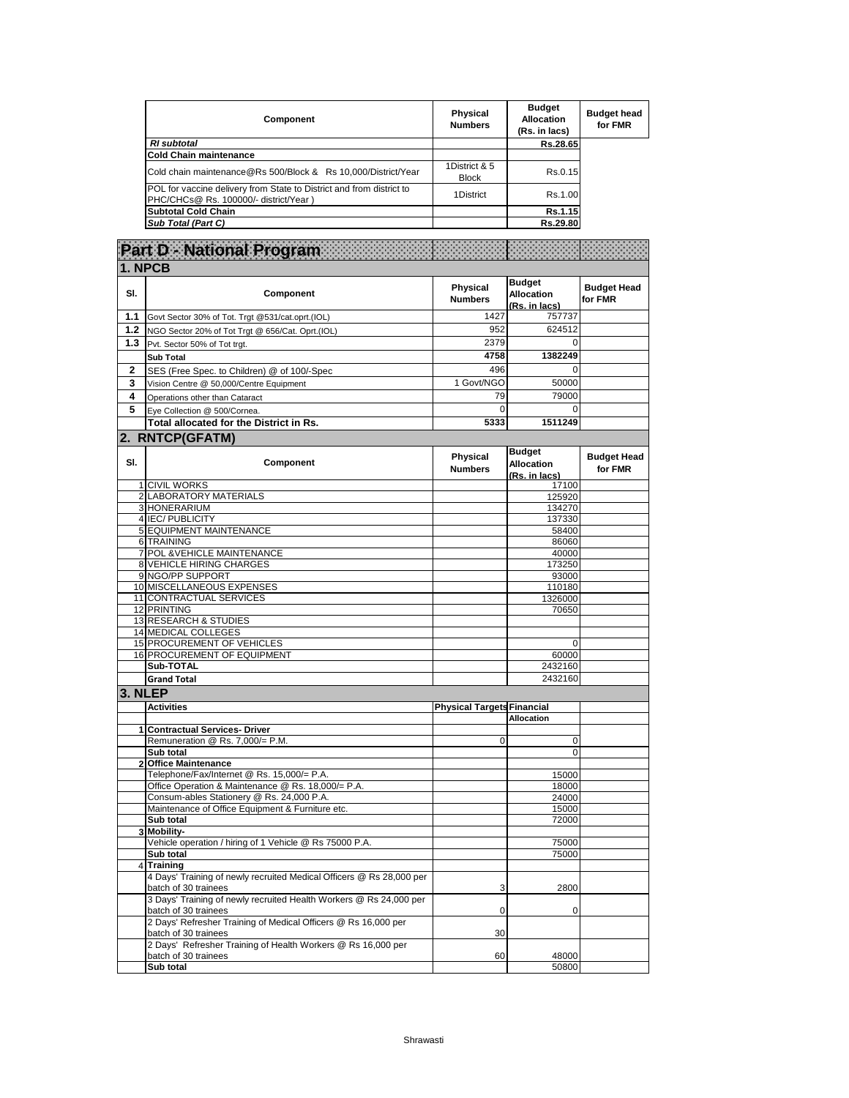| Component                                                                                                     | Physical<br><b>Numbers</b>    | <b>Budget</b><br><b>Allocation</b><br>(Rs. in lacs) | <b>Budget head</b><br>for FMR |
|---------------------------------------------------------------------------------------------------------------|-------------------------------|-----------------------------------------------------|-------------------------------|
| <b>RI</b> subtotal                                                                                            |                               | Rs.28.65                                            |                               |
| <b>Cold Chain maintenance</b>                                                                                 |                               |                                                     |                               |
| Cold chain maintenance@Rs 500/Block & Rs 10,000/District/Year                                                 | 1District & 5<br><b>Block</b> | Rs.0.15                                             |                               |
| POL for vaccine delivery from State to District and from district to<br>PHC/CHCs@ Rs. 100000/- district/Year) | 1District                     | Rs.1.00                                             |                               |
| <b>Subtotal Cold Chain</b>                                                                                    |                               | Rs.1.15                                             |                               |
| Sub Total (Part C)                                                                                            |                               | Rs.29.80                                            |                               |

|                         | Part D - National Program                                                                    |                                   |                                                     |                               |
|-------------------------|----------------------------------------------------------------------------------------------|-----------------------------------|-----------------------------------------------------|-------------------------------|
|                         | 1. NPCB                                                                                      |                                   |                                                     |                               |
| SI.                     | Component                                                                                    | Physical<br><b>Numbers</b>        | <b>Budget</b><br><b>Allocation</b><br>(Rs. in lacs) | <b>Budget Head</b><br>for FMR |
| 1.1                     | Govt Sector 30% of Tot. Trgt @531/cat.oprt.(IOL)                                             | 1427                              | 757737                                              |                               |
| 1.2                     | NGO Sector 20% of Tot Trgt @ 656/Cat. Oprt.(IOL)                                             | 952                               | 624512                                              |                               |
| 1.3                     | Pvt. Sector 50% of Tot trgt.                                                                 | 2379                              | 0                                                   |                               |
|                         | <b>Sub Total</b>                                                                             | 4758                              | 1382249                                             |                               |
| $\mathbf 2$             | SES (Free Spec. to Children) @ of 100/-Spec                                                  | 496                               | $\mathbf 0$                                         |                               |
| 3                       | Vision Centre @ 50,000/Centre Equipment                                                      | 1 Govt/NGO                        | 50000                                               |                               |
| 4                       | Operations other than Cataract                                                               | 79                                | 79000                                               |                               |
| 5                       | Eye Collection @ 500/Cornea.                                                                 | 0                                 | 0                                                   |                               |
|                         | Total allocated for the District in Rs.                                                      | 5333                              | 1511249                                             |                               |
|                         | 2. RNTCP(GFATM)                                                                              |                                   |                                                     |                               |
| SI.                     | Component                                                                                    | Physical<br><b>Numbers</b>        | <b>Budget</b><br><b>Allocation</b><br>(Rs. in lacs) | <b>Budget Head</b><br>for FMR |
|                         | 1 CIVIL WORKS                                                                                |                                   | 17100                                               |                               |
|                         | 2 LABORATORY MATERIALS<br>3 HONERARIUM                                                       |                                   | 125920<br>134270                                    |                               |
|                         | 4 IEC/ PUBLICITY                                                                             |                                   | 137330                                              |                               |
|                         | 5 EQUIPMENT MAINTENANCE                                                                      |                                   | 58400                                               |                               |
|                         | 6 TRAINING                                                                                   |                                   | 86060                                               |                               |
|                         | 7 POL & VEHICLE MAINTENANCE                                                                  |                                   | 40000                                               |                               |
|                         | 8 VEHICLE HIRING CHARGES                                                                     |                                   | 173250                                              |                               |
|                         | 9 NGO/PP SUPPORT<br>10 MISCELLANEOUS EXPENSES                                                |                                   | 93000<br>110180                                     |                               |
|                         | 11 CONTRACTUAL SERVICES                                                                      |                                   | 1326000                                             |                               |
|                         | 12 PRINTING                                                                                  |                                   | 70650                                               |                               |
|                         | 13 RESEARCH & STUDIES                                                                        |                                   |                                                     |                               |
|                         | 14 MEDICAL COLLEGES                                                                          |                                   |                                                     |                               |
|                         | 15 PROCUREMENT OF VEHICLES                                                                   |                                   | 0                                                   |                               |
|                         | 16 PROCUREMENT OF EQUIPMENT<br>Sub-TOTAL                                                     |                                   | 60000<br>2432160                                    |                               |
|                         | <b>Grand Total</b>                                                                           |                                   | 2432160                                             |                               |
| 3. NLEP                 |                                                                                              |                                   |                                                     |                               |
|                         | <b>Activities</b>                                                                            | <b>Physical Targets Financial</b> |                                                     |                               |
|                         |                                                                                              |                                   | <b>Allocation</b>                                   |                               |
| 1                       | <b>Contractual Services- Driver</b>                                                          |                                   |                                                     |                               |
|                         | Remuneration @ Rs. 7,000/= P.M.                                                              | 0                                 | 0                                                   |                               |
|                         | Sub total                                                                                    |                                   | 0                                                   |                               |
|                         | 2 Office Maintenance<br>Telephone/Fax/Internet @ Rs. 15,000/= P.A.                           |                                   |                                                     |                               |
|                         | Office Operation & Maintenance @ Rs. 18,000/= P.A.                                           |                                   | 15000<br>18000                                      |                               |
|                         | Consum-ables Stationery @ Rs. 24,000 P.A.                                                    |                                   | 24000                                               |                               |
|                         | Maintenance of Office Equipment & Furniture etc.                                             |                                   | 15000                                               |                               |
|                         | Sub total                                                                                    |                                   | 72000                                               |                               |
| $\overline{\mathbf{3}}$ | Mobility-                                                                                    |                                   |                                                     |                               |
|                         | Vehicle operation / hiring of 1 Vehicle @ Rs 75000 P.A.<br>Sub total                         |                                   | 75000                                               |                               |
|                         | 4 Training                                                                                   |                                   | 75000                                               |                               |
|                         | 4 Days' Training of newly recruited Medical Officers @ Rs 28,000 per<br>batch of 30 trainees | 3                                 | 2800                                                |                               |
|                         | 3 Days' Training of newly recruited Health Workers @ Rs 24,000 per<br>batch of 30 trainees   | 0                                 | 0                                                   |                               |
|                         | 2 Days' Refresher Training of Medical Officers @ Rs 16,000 per<br>batch of 30 trainees       | 30                                |                                                     |                               |
|                         | 2 Days' Refresher Training of Health Workers @ Rs 16,000 per<br>batch of 30 trainees         | 60                                | 48000                                               |                               |
|                         | Sub total                                                                                    |                                   | 50800                                               |                               |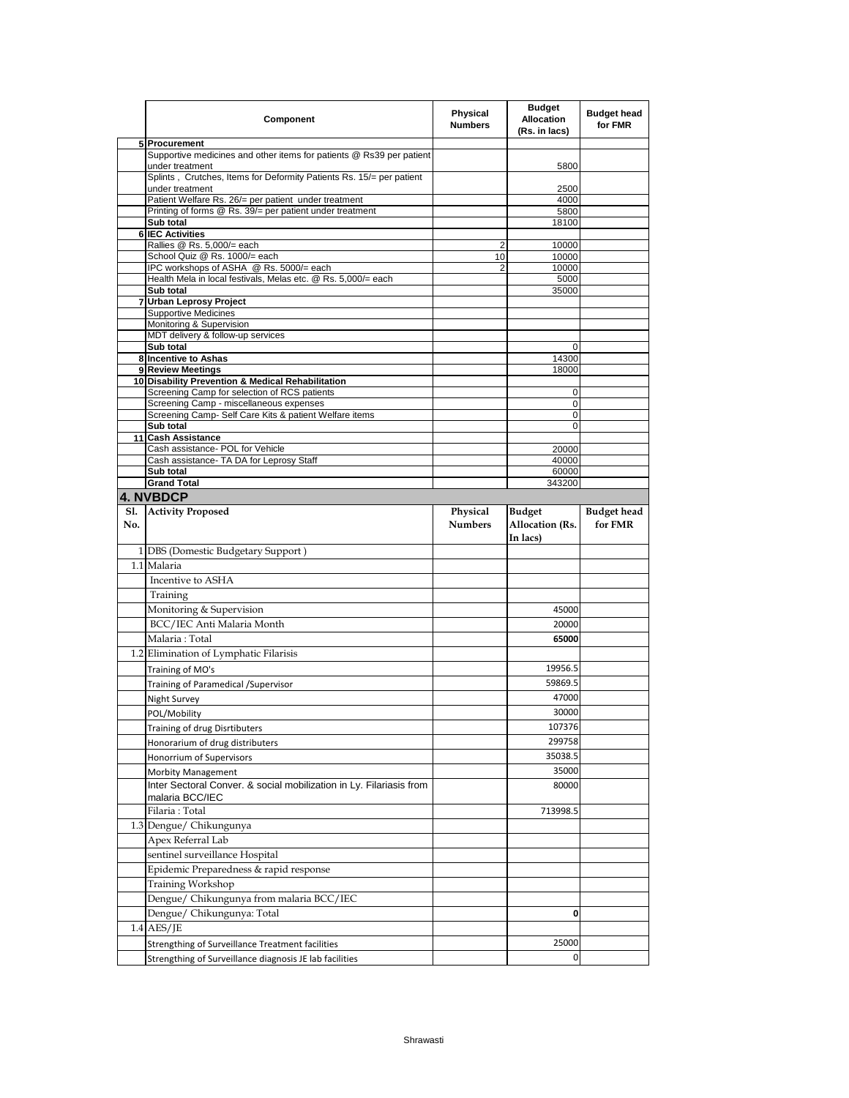|     | Component                                                                               | <b>Physical</b><br><b>Numbers</b> | <b>Budget</b><br><b>Allocation</b><br>(Rs. in lacs) | <b>Budget head</b><br>for FMR |
|-----|-----------------------------------------------------------------------------------------|-----------------------------------|-----------------------------------------------------|-------------------------------|
|     | 5 Procurement                                                                           |                                   |                                                     |                               |
|     | Supportive medicines and other items for patients @ Rs39 per patient<br>under treatment |                                   | 5800                                                |                               |
|     | Splints, Crutches, Items for Deformity Patients Rs. 15/= per patient                    |                                   |                                                     |                               |
|     | under treatment<br>Patient Welfare Rs. 26/= per patient under treatment                 |                                   | 2500<br>4000                                        |                               |
|     | Printing of forms @ Rs. 39/= per patient under treatment                                |                                   | 5800                                                |                               |
|     | Sub total                                                                               |                                   | 18100                                               |                               |
|     | <b>6 IEC Activities</b>                                                                 |                                   |                                                     |                               |
|     | Rallies @ Rs. 5,000/= each<br>School Quiz @ Rs. 1000/= each                             | 2<br>10                           | 10000<br>10000                                      |                               |
|     | IPC workshops of ASHA @ Rs. 5000/= each                                                 | $\overline{2}$                    | 10000                                               |                               |
|     | Health Mela in local festivals, Melas etc. @ Rs. 5,000/= each                           |                                   | 5000                                                |                               |
|     | Sub total                                                                               |                                   | 35000                                               |                               |
|     | 7 Urban Leprosy Project<br><b>Supportive Medicines</b>                                  |                                   |                                                     |                               |
|     | Monitoring & Supervision                                                                |                                   |                                                     |                               |
|     | MDT delivery & follow-up services                                                       |                                   |                                                     |                               |
|     | Sub total                                                                               |                                   | $\Omega$                                            |                               |
|     | 8 Incentive to Ashas<br>9 Review Meetings                                               |                                   | 14300                                               |                               |
|     | 10 Disability Prevention & Medical Rehabilitation                                       |                                   | 18000                                               |                               |
|     | Screening Camp for selection of RCS patients                                            |                                   | 0                                                   |                               |
|     | Screening Camp - miscellaneous expenses                                                 |                                   | 0                                                   |                               |
|     | Screening Camp- Self Care Kits & patient Welfare items                                  |                                   | $\Omega$                                            |                               |
|     | Sub total<br>11 Cash Assistance                                                         |                                   | 0                                                   |                               |
|     | Cash assistance- POL for Vehicle                                                        |                                   | 20000                                               |                               |
|     | Cash assistance- TA DA for Leprosy Staff                                                |                                   | 40000                                               |                               |
|     | Sub total                                                                               |                                   | 60000                                               |                               |
|     | <b>Grand Total</b>                                                                      |                                   | 343200                                              |                               |
| S1. | <b>4. NVBDCP</b><br><b>Activity Proposed</b>                                            |                                   | <b>Budget</b>                                       |                               |
| No. |                                                                                         | Physical<br><b>Numbers</b>        | Allocation (Rs.<br>In lacs)                         | <b>Budget head</b><br>for FMR |
|     | 1 DBS (Domestic Budgetary Support)                                                      |                                   |                                                     |                               |
|     | 1.1 Malaria                                                                             |                                   |                                                     |                               |
|     | Incentive to ASHA                                                                       |                                   |                                                     |                               |
|     |                                                                                         |                                   |                                                     |                               |
|     | Training<br>Monitoring & Supervision                                                    |                                   |                                                     |                               |
|     |                                                                                         |                                   | 45000                                               |                               |
|     | BCC/IEC Anti Malaria Month                                                              |                                   | 20000                                               |                               |
|     | Malaria: Total                                                                          |                                   | 65000                                               |                               |
|     | 1.2 Elimination of Lymphatic Filarisis                                                  |                                   |                                                     |                               |
|     | Training of MO's                                                                        |                                   | 19956.5                                             |                               |
|     | Training of Paramedical / Supervisor                                                    |                                   | 59869.5                                             |                               |
|     | <b>Night Survey</b>                                                                     |                                   | 47000                                               |                               |
|     | POL/Mobility                                                                            |                                   | 30000                                               |                               |
|     | Training of drug Disrtibuters                                                           |                                   | 107376                                              |                               |
|     | Honorarium of drug distributers                                                         |                                   | 299758                                              |                               |
|     | Honorrium of Supervisors                                                                |                                   | 35038.5                                             |                               |
|     | <b>Morbity Management</b>                                                               |                                   | 35000                                               |                               |
|     | Inter Sectoral Conver. & social mobilization in Ly. Filariasis from<br>malaria BCC/IEC  |                                   | 80000                                               |                               |
|     | Filaria: Total                                                                          |                                   | 713998.5                                            |                               |
|     | 1.3 Dengue/ Chikungunya                                                                 |                                   |                                                     |                               |
|     | Apex Referral Lab                                                                       |                                   |                                                     |                               |
|     | sentinel surveillance Hospital                                                          |                                   |                                                     |                               |
|     | Epidemic Preparedness & rapid response                                                  |                                   |                                                     |                               |
|     | Training Workshop                                                                       |                                   |                                                     |                               |
|     | Dengue/ Chikungunya from malaria BCC/IEC                                                |                                   |                                                     |                               |
|     | Dengue/ Chikungunya: Total                                                              |                                   | 0                                                   |                               |
|     | $1.4$ AES/JE                                                                            |                                   |                                                     |                               |
|     |                                                                                         |                                   |                                                     |                               |
|     | Strengthing of Surveillance Treatment facilities                                        |                                   | 25000                                               |                               |
|     | Strengthing of Surveillance diagnosis JE lab facilities                                 |                                   | 0                                                   |                               |